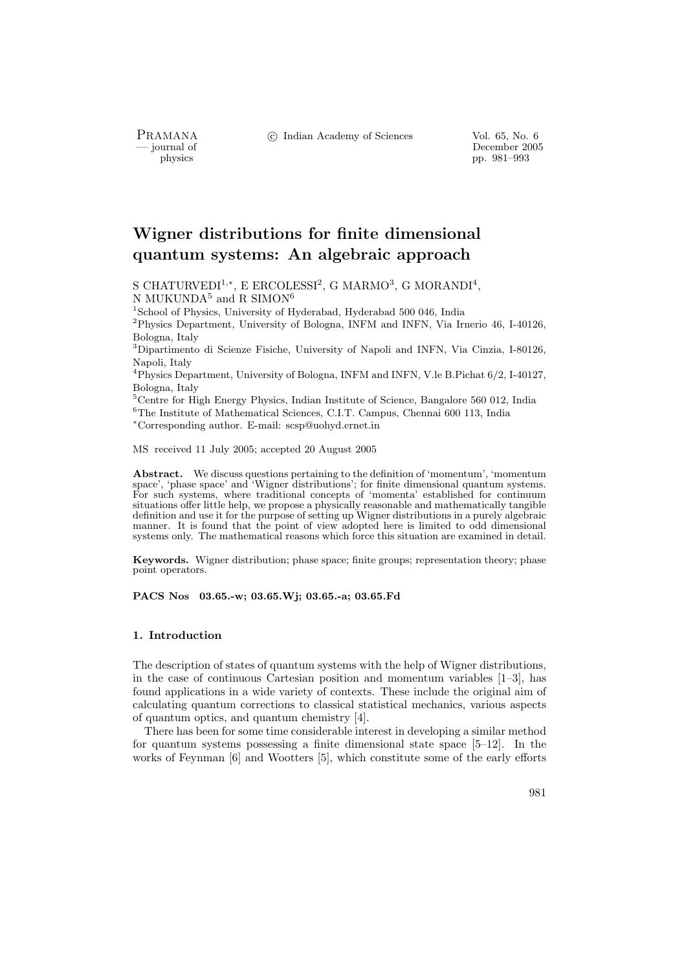PRAMANA <sup>6</sup> (c) Indian Academy of Sciences Vol. 65, No. 6

— journal of December 2005 physics pp. 981–993

# Wigner distributions for finite dimensional quantum systems: An algebraic approach

S CHATURVEDI<sup>1,\*</sup>, E ERCOLESSI<sup>2</sup>, G MARMO<sup>3</sup>, G MORANDI<sup>4</sup>, N MUKUNDA<sup>5</sup> and R SIMON<sup>6</sup>

<sup>1</sup>School of Physics, University of Hyderabad, Hyderabad 500 046, India

<sup>2</sup>Physics Department, University of Bologna, INFM and INFN, Via Irnerio 46, I-40126, Bologna, Italy

<sup>3</sup>Dipartimento di Scienze Fisiche, University of Napoli and INFN, Via Cinzia, I-80126, Napoli, Italy

<sup>4</sup>Physics Department, University of Bologna, INFM and INFN, V.le B.Pichat 6/2, I-40127, Bologna, Italy

<sup>5</sup>Centre for High Energy Physics, Indian Institute of Science, Bangalore 560 012, India  $^6\rm{The\ Institute\ of\ Mathematical\ Sciences,\ C.I.T.\ Campus,\ Chemical\ 600\ 113,\ India}$ <sup>∗</sup>Corresponding author. E-mail: scsp@uohyd.ernet.in

MS received 11 July 2005; accepted 20 August 2005

Abstract. We discuss questions pertaining to the definition of 'momentum', 'momentum space', 'phase space' and 'Wigner distributions'; for finite dimensional quantum systems. For such systems, where traditional concepts of 'momenta' established for continuum situations offer little help, we propose a physically reasonable and mathematically tangible definition and use it for the purpose of setting up Wigner distributions in a purely algebraic manner. It is found that the point of view adopted here is limited to odd dimensional systems only. The mathematical reasons which force this situation are examined in detail.

Keywords. Wigner distribution; phase space; finite groups; representation theory; phase point operators.

PACS Nos 03.65.-w; 03.65.Wj; 03.65.-a; 03.65.Fd

### 1. Introduction

The description of states of quantum systems with the help of Wigner distributions, in the case of continuous Cartesian position and momentum variables  $[1-3]$ , has found applications in a wide variety of contexts. These include the original aim of calculating quantum corrections to classical statistical mechanics, various aspects of quantum optics, and quantum chemistry [4].

There has been for some time considerable interest in developing a similar method for quantum systems possessing a finite dimensional state space [5–12]. In the works of Feynman [6] and Wootters [5], which constitute some of the early efforts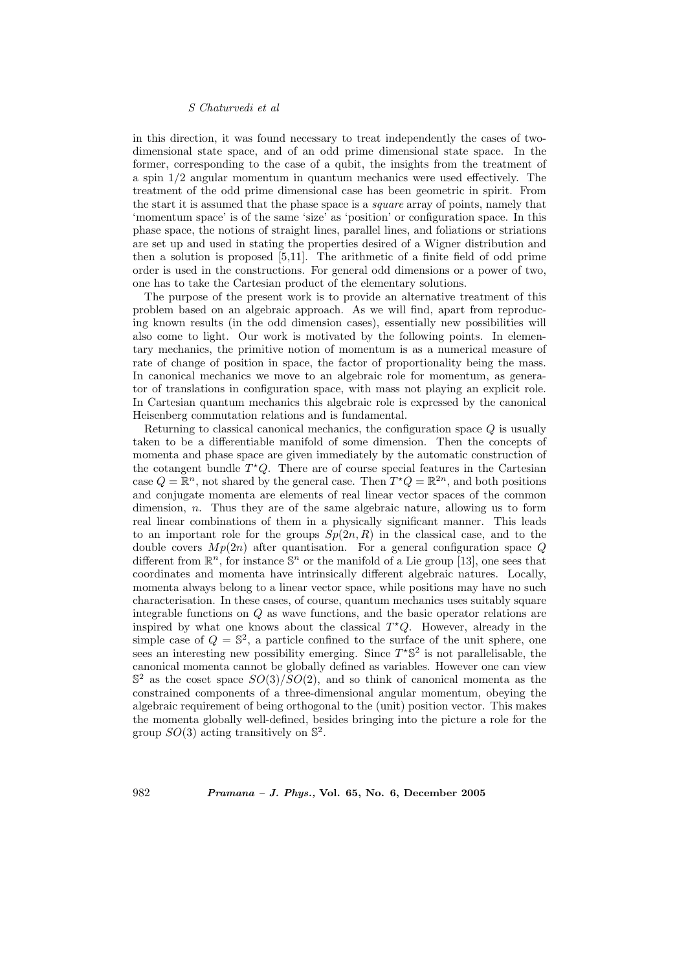in this direction, it was found necessary to treat independently the cases of twodimensional state space, and of an odd prime dimensional state space. In the former, corresponding to the case of a qubit, the insights from the treatment of a spin 1/2 angular momentum in quantum mechanics were used effectively. The treatment of the odd prime dimensional case has been geometric in spirit. From the start it is assumed that the phase space is a square array of points, namely that 'momentum space' is of the same 'size' as 'position' or configuration space. In this phase space, the notions of straight lines, parallel lines, and foliations or striations are set up and used in stating the properties desired of a Wigner distribution and then a solution is proposed [5,11]. The arithmetic of a finite field of odd prime order is used in the constructions. For general odd dimensions or a power of two, one has to take the Cartesian product of the elementary solutions.

The purpose of the present work is to provide an alternative treatment of this problem based on an algebraic approach. As we will find, apart from reproducing known results (in the odd dimension cases), essentially new possibilities will also come to light. Our work is motivated by the following points. In elementary mechanics, the primitive notion of momentum is as a numerical measure of rate of change of position in space, the factor of proportionality being the mass. In canonical mechanics we move to an algebraic role for momentum, as generator of translations in configuration space, with mass not playing an explicit role. In Cartesian quantum mechanics this algebraic role is expressed by the canonical Heisenberg commutation relations and is fundamental.

Returning to classical canonical mechanics, the configuration space  $Q$  is usually taken to be a differentiable manifold of some dimension. Then the concepts of momenta and phase space are given immediately by the automatic construction of the cotangent bundle  $T^{\star}Q$ . There are of course special features in the Cartesian case  $Q = \mathbb{R}^n$ , not shared by the general case. Then  $T^*Q = \mathbb{R}^{2n}$ , and both positions and conjugate momenta are elements of real linear vector spaces of the common dimension, n. Thus they are of the same algebraic nature, allowing us to form real linear combinations of them in a physically significant manner. This leads to an important role for the groups  $Sp(2n, R)$  in the classical case, and to the double covers  $Mp(2n)$  after quantisation. For a general configuration space Q different from  $\mathbb{R}^n$ , for instance  $\mathbb{S}^n$  or the manifold of a Lie group [13], one sees that coordinates and momenta have intrinsically different algebraic natures. Locally, momenta always belong to a linear vector space, while positions may have no such characterisation. In these cases, of course, quantum mechanics uses suitably square integrable functions on Q as wave functions, and the basic operator relations are inspired by what one knows about the classical  $T^*Q$ . However, already in the simple case of  $Q = \mathbb{S}^2$ , a particle confined to the surface of the unit sphere, one sees an interesting new possibility emerging. Since  $T^*\mathbb{S}^2$  is not parallelisable, the canonical momenta cannot be globally defined as variables. However one can view  $\mathbb{S}^2$  as the coset space  $SO(3)/SO(2)$ , and so think of canonical momenta as the constrained components of a three-dimensional angular momentum, obeying the algebraic requirement of being orthogonal to the (unit) position vector. This makes the momenta globally well-defined, besides bringing into the picture a role for the group  $SO(3)$  acting transitively on  $\mathbb{S}^2$ .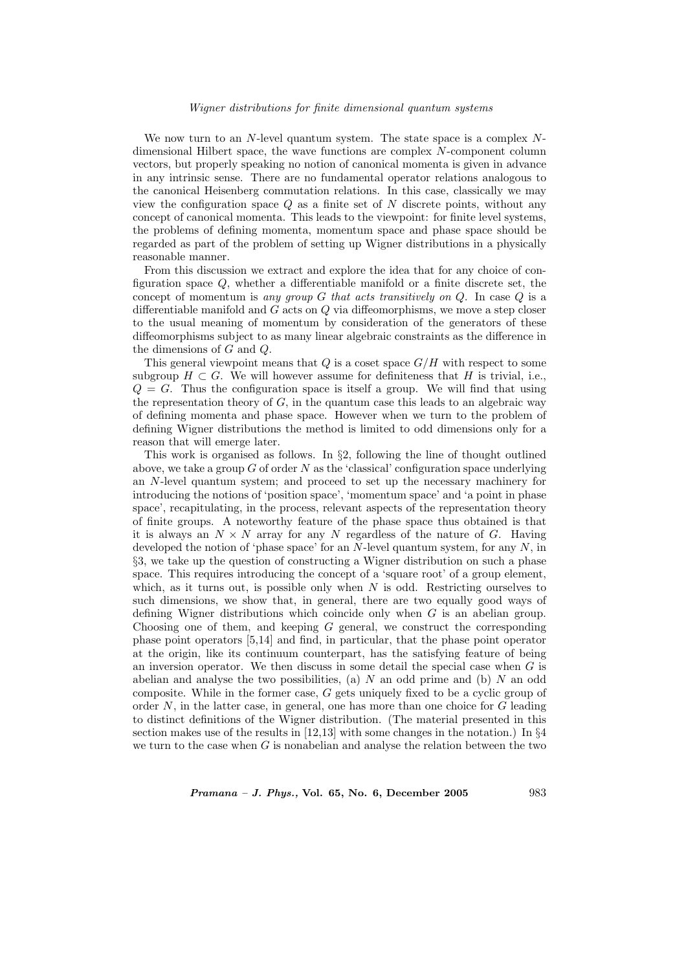We now turn to an  $N$ -level quantum system. The state space is a complex  $N$ dimensional Hilbert space, the wave functions are complex N-component column vectors, but properly speaking no notion of canonical momenta is given in advance in any intrinsic sense. There are no fundamental operator relations analogous to the canonical Heisenberg commutation relations. In this case, classically we may view the configuration space  $Q$  as a finite set of  $N$  discrete points, without any concept of canonical momenta. This leads to the viewpoint: for finite level systems, the problems of defining momenta, momentum space and phase space should be regarded as part of the problem of setting up Wigner distributions in a physically reasonable manner.

From this discussion we extract and explore the idea that for any choice of configuration space Q, whether a differentiable manifold or a finite discrete set, the concept of momentum is any group  $G$  that acts transitively on  $Q$ . In case  $Q$  is a differentiable manifold and  $G$  acts on  $Q$  via diffeomorphisms, we move a step closer to the usual meaning of momentum by consideration of the generators of these diffeomorphisms subject to as many linear algebraic constraints as the difference in the dimensions of G and Q.

This general viewpoint means that  $Q$  is a coset space  $G/H$  with respect to some subgroup  $H \subset G$ . We will however assume for definiteness that H is trivial, i.e.,  $Q = G$ . Thus the configuration space is itself a group. We will find that using the representation theory of  $G$ , in the quantum case this leads to an algebraic way of defining momenta and phase space. However when we turn to the problem of defining Wigner distributions the method is limited to odd dimensions only for a reason that will emerge later.

This work is organised as follows. In  $\S2$ , following the line of thought outlined above, we take a group  $G$  of order  $N$  as the 'classical' configuration space underlying an N-level quantum system; and proceed to set up the necessary machinery for introducing the notions of 'position space', 'momentum space' and 'a point in phase space', recapitulating, in the process, relevant aspects of the representation theory of finite groups. A noteworthy feature of the phase space thus obtained is that it is always an  $N \times N$  array for any N regardless of the nature of G. Having developed the notion of 'phase space' for an  $N$ -level quantum system, for any  $N$ , in §3, we take up the question of constructing a Wigner distribution on such a phase space. This requires introducing the concept of a 'square root' of a group element, which, as it turns out, is possible only when  $N$  is odd. Restricting ourselves to such dimensions, we show that, in general, there are two equally good ways of defining Wigner distributions which coincide only when G is an abelian group. Choosing one of them, and keeping  $G$  general, we construct the corresponding phase point operators [5,14] and find, in particular, that the phase point operator at the origin, like its continuum counterpart, has the satisfying feature of being an inversion operator. We then discuss in some detail the special case when  $G$  is abelian and analyse the two possibilities, (a)  $N$  an odd prime and (b)  $N$  an odd composite. While in the former case, G gets uniquely fixed to be a cyclic group of order  $N$ , in the latter case, in general, one has more than one choice for  $G$  leading to distinct definitions of the Wigner distribution. (The material presented in this section makes use of the results in [12,13] with some changes in the notation.) In §4 we turn to the case when  $G$  is nonabelian and analyse the relation between the two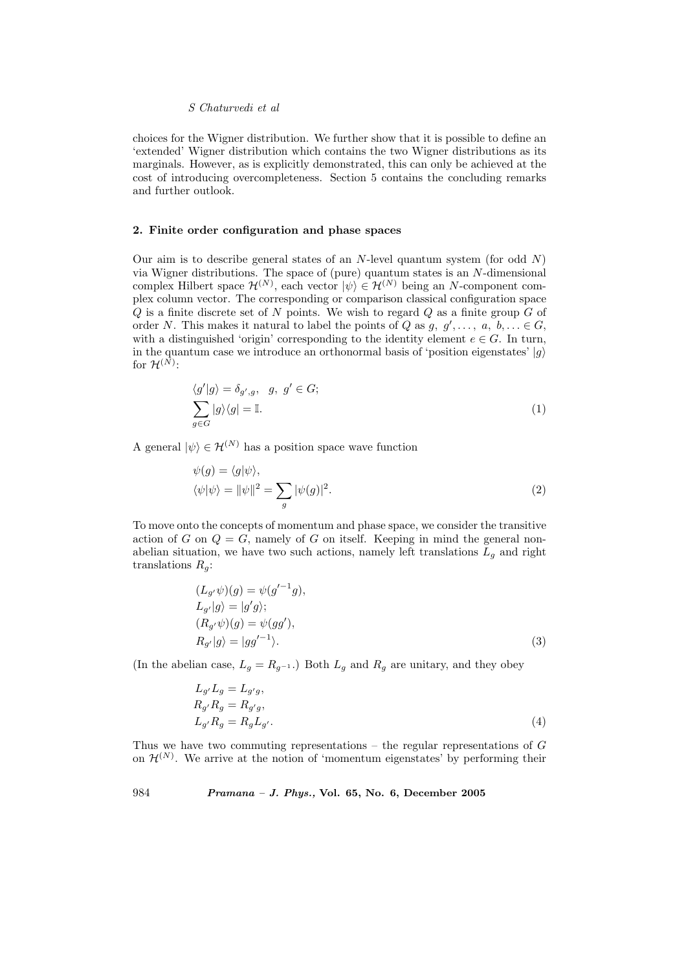choices for the Wigner distribution. We further show that it is possible to define an 'extended' Wigner distribution which contains the two Wigner distributions as its marginals. However, as is explicitly demonstrated, this can only be achieved at the cost of introducing overcompleteness. Section 5 contains the concluding remarks and further outlook.

## 2. Finite order configuration and phase spaces

Our aim is to describe general states of an  $N$ -level quantum system (for odd  $N$ ) via Wigner distributions. The space of (pure) quantum states is an N-dimensional complex Hilbert space  $\mathcal{H}^{(N)}$ , each vector  $|\psi\rangle \in \mathcal{H}^{(N)}$  being an N-component complex column vector. The corresponding or comparison classical configuration space  $Q$  is a finite discrete set of N points. We wish to regard  $Q$  as a finite group  $G$  of order N. This makes it natural to label the points of Q as  $g, g', \ldots, a, b, \ldots \in G$ , with a distinguished 'origin' corresponding to the identity element  $e \in G$ . In turn, in the quantum case we introduce an orthonormal basis of 'position eigenstates'  $|q\rangle$ for  $\mathcal{H}^{(\bar{N})}$ :

$$
\langle g'|g\rangle = \delta_{g',g}, \quad g, \ g' \in G;
$$
  

$$
\sum_{g \in G} |g\rangle\langle g| = \mathbb{I}.
$$
 (1)

A general  $|\psi\rangle \in \mathcal{H}^{(N)}$  has a position space wave function

$$
\psi(g) = \langle g | \psi \rangle, \langle \psi | \psi \rangle = ||\psi||^2 = \sum_{g} |\psi(g)|^2.
$$
\n(2)

To move onto the concepts of momentum and phase space, we consider the transitive action of G on  $Q = G$ , namely of G on itself. Keeping in mind the general nonabelian situation, we have two such actions, namely left translations  $L_g$  and right translations  $R_q$ :

$$
(L_{g'}\psi)(g) = \psi(g'^{-1}g),
$$
  
\n
$$
L_{g'}|g\rangle = |g'g\rangle;
$$
  
\n
$$
(R_{g'}\psi)(g) = \psi(gg'),
$$
  
\n
$$
R_{g'}|g\rangle = |gg'^{-1}\rangle.
$$
\n(3)

(In the abelian case,  $L_g = R_{g^{-1}}$ .) Both  $L_g$  and  $R_g$  are unitary, and they obey

$$
L_{g'}L_g = L_{g'g},
$$
  
\n
$$
R_{g'}R_g = R_{g'g},
$$
  
\n
$$
L_{g'}R_g = R_gL_{g'}.
$$
\n(4)

Thus we have two commuting representations – the regular representations of  $G$ on  $\mathcal{H}^{(N)}$ . We arrive at the notion of 'momentum eigenstates' by performing their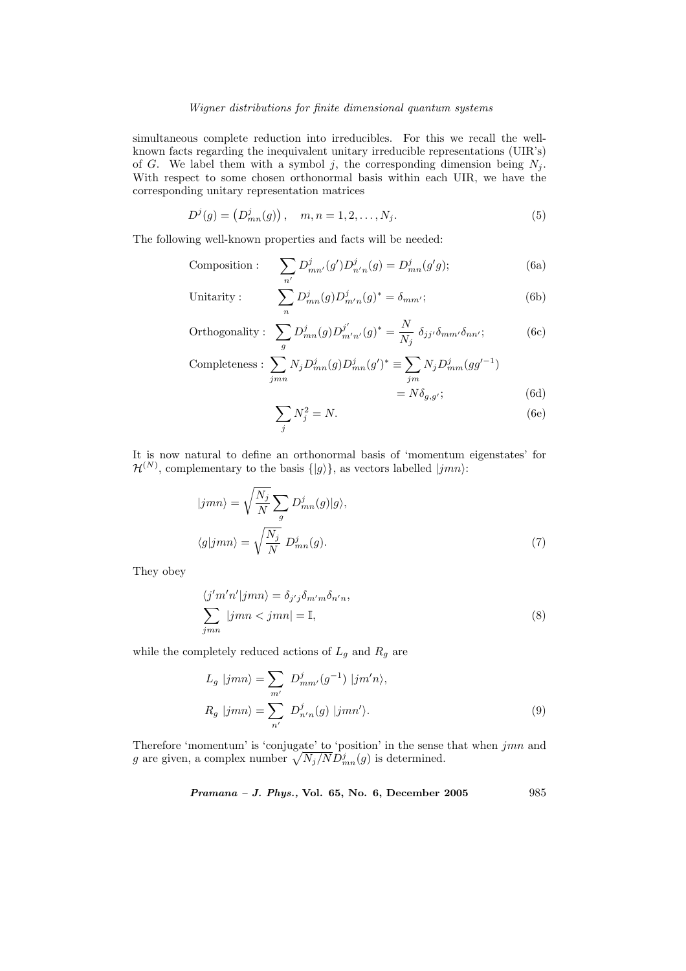simultaneous complete reduction into irreducibles. For this we recall the wellknown facts regarding the inequivalent unitary irreducible representations (UIR's) of G. We label them with a symbol j, the corresponding dimension being  $N_j$ . With respect to some chosen orthonormal basis within each UIR, we have the corresponding unitary representation matrices

$$
D^{j}(g) = (D^{j}_{mn}(g)), \quad m, n = 1, 2, ..., N_{j}.
$$
 (5)

The following well-known properties and facts will be needed:

Composition: 
$$
\sum_{n'} D^{j}_{mn'}(g') D^{j}_{n'n}(g) = D^{j}_{mn}(g'g);
$$
 (6a)

Unitarity : 
$$
\sum_{n}^{n} D_{mn}^{j}(g) D_{m'n}^{j}(g)^{*} = \delta_{mm'};
$$
 (6b)

Orthogonality: 
$$
\sum_{g} D_{mn}^{j}(g) D_{m'n'}^{j'}(g)^{*} = \frac{N}{N_j} \delta_{jj'} \delta_{mm'} \delta_{nn'};
$$
 (6c)

Completeness: 
$$
\sum_{jmn}^{s} N_j D_{mn}^j(g) D_{mn}^j(g')^* \equiv \sum_{jm} N_j D_{mm}^j(gg'^{-1})
$$

$$
= N \delta_{g,g'};
$$
 (6d)

$$
\sum_{j} N_j^2 = N. \tag{6e}
$$

It is now natural to define an orthonormal basis of 'momentum eigenstates' for  $\mathcal{H}^{(N)}$ , complementary to the basis  $\{|g\rangle\}$ , as vectors labelled  $|jmn\rangle$ :

$$
|jmn\rangle = \sqrt{\frac{N_j}{N}} \sum_{g} D_{mn}^{j}(g)|g\rangle,
$$
  

$$
\langle g|jmn\rangle = \sqrt{\frac{N_j}{N}} D_{mn}^{j}(g).
$$
 (7)

They obey

$$
\langle j'm'n'|jmn\rangle = \delta_{j'j}\delta_{m'm}\delta_{n'n},
$$
  

$$
\sum_{jmn} |jmn < jmn| = \mathbb{I},
$$
 (8)

while the completely reduced actions of  $L_g$  and  $R_g$  are

$$
L_g |jmn\rangle = \sum_{m'} D^j_{mm'}(g^{-1}) |jm'n\rangle,
$$
  
\n
$$
R_g |jmn\rangle = \sum_{n'} D^j_{n'n}(g) |jmn'\rangle.
$$
\n(9)

Therefore 'momentum' is 'conjugate' to 'position' in the sense that when  $jmn$  and Therefore 'momentum' is 'conjugate' to 'position' in the sense g are given, a complex number  $\sqrt{N_j/N}D_{mn}^j(g)$  is determined.

$$
Pramana - J. Phys., Vol. 65, No. 6, December 2005 \qquad \qquad 985
$$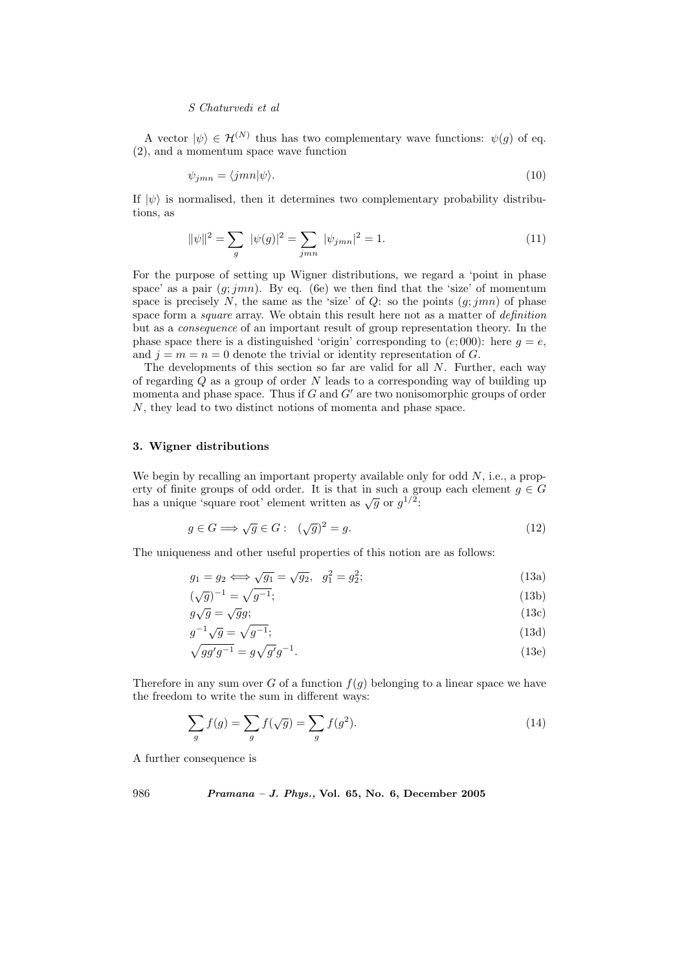A vector  $|\psi\rangle \in \mathcal{H}^{(N)}$  thus has two complementary wave functions:  $\psi(q)$  of eq. (2), and a momentum space wave function

$$
\psi_{jmn} = \langle jmn|\psi\rangle. \tag{10}
$$

If  $|\psi\rangle$  is normalised, then it determines two complementary probability distributions, as

$$
\|\psi\|^2 = \sum_{g} |\psi(g)|^2 = \sum_{jmn} |\psi_{jmn}|^2 = 1.
$$
 (11)

For the purpose of setting up Wigner distributions, we regard a 'point in phase space' as a pair  $(g; jmn)$ . By eq. (6e) we then find that the 'size' of momentum space is precisely N, the same as the 'size' of  $Q$ : so the points  $(g; jmn)$  of phase space form a *square* array. We obtain this result here not as a matter of *definition* but as a consequence of an important result of group representation theory. In the phase space there is a distinguished 'origin' corresponding to  $(e; 000)$ : here  $q = e$ , and  $j = m = n = 0$  denote the trivial or identity representation of G.

The developments of this section so far are valid for all  $N$ . Further, each way of regarding  $Q$  as a group of order  $N$  leads to a corresponding way of building up momenta and phase space. Thus if  $G$  and  $G'$  are two nonisomorphic groups of order N, they lead to two distinct notions of momenta and phase space.

## 3. Wigner distributions

We begin by recalling an important property available only for odd  $N$ , i.e., a property of finite groups of odd order. It is that in such a group each element  $g \in G$ has a unique 'square root' element written as  $\sqrt{g}$  or  $g^{1/2}$ .

$$
g \in G \Longrightarrow \sqrt{g} \in G: \ (\sqrt{g})^2 = g. \tag{12}
$$

The uniqueness and other useful properties of this notion are as follows:

$$
g_1 = g_2 \Longleftrightarrow \sqrt{g_1} = \sqrt{g_2}, \quad g_1^2 = g_2^2; \tag{13a}
$$

$$
(\sqrt{g})^{-1} = \sqrt{g^{-1}};
$$
\n(13b)

$$
g\sqrt{g} = \sqrt{g}g;\tag{13c}
$$

$$
g^{-1}\sqrt{g} = \sqrt{g^{-1}};
$$
\n(13d)

$$
\sqrt{gg'g^{-1}} = g\sqrt{g'}g^{-1}.
$$
\n(13e)

Therefore in any sum over G of a function  $f(g)$  belonging to a linear space we have the freedom to write the sum in different ways:

$$
\sum_{g} f(g) = \sum_{g} f(\sqrt{g}) = \sum_{g} f(g^2).
$$
 (14)

A further consequence is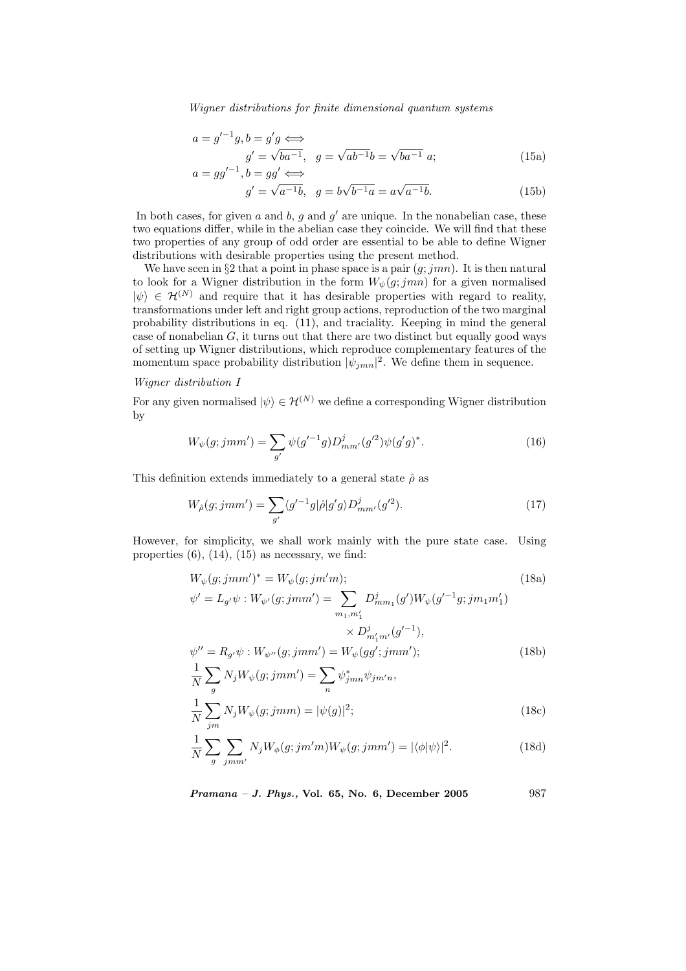$$
a = g'^{-1}g, b = g'g \Longleftrightarrow
$$
  
\n
$$
g' = \sqrt{ba^{-1}}, \quad g = \sqrt{ab^{-1}}b = \sqrt{ba^{-1}} a;
$$
\n(15a)

$$
a = gg'^{-1}, b = gg' \Longleftrightarrow
$$
  
\n
$$
g' = \sqrt{a^{-1}b}, \quad g = b\sqrt{b^{-1}a} = a\sqrt{a^{-1}b}.
$$
\n(15b)

In both cases, for given a and b, q and  $g'$  are unique. In the nonabelian case, these two equations differ, while in the abelian case they coincide. We will find that these two properties of any group of odd order are essential to be able to define Wigner distributions with desirable properties using the present method.

We have seen in §2 that a point in phase space is a pair  $(g; jmn)$ . It is then natural to look for a Wigner distribution in the form  $W_{\psi}(g; jmn)$  for a given normalised  $|\psi\rangle \in \mathcal{H}^{(N)}$  and require that it has desirable properties with regard to reality, transformations under left and right group actions, reproduction of the two marginal probability distributions in eq. (11), and traciality. Keeping in mind the general case of nonabelian  $G$ , it turns out that there are two distinct but equally good ways of setting up Wigner distributions, which reproduce complementary features of the momentum space probability distribution  $|\psi_{jmn}|^2$ . We define them in sequence.

#### Wigner distribution I

For any given normalised  $|\psi\rangle \in \mathcal{H}^{(N)}$  we define a corresponding Wigner distribution by

$$
W_{\psi}(g; jmm') = \sum_{g'} \psi(g'^{-1}g) D^{j}_{mm'}(g'^{2}) \psi(g'g)^{*}.
$$
 (16)

This definition extends immediately to a general state  $\hat{\rho}$  as

$$
W_{\hat{\rho}}(g; jmm') = \sum_{g'} \langle g'^{-1}g | \hat{\rho} | g'g \rangle D^{j}_{mm'}(g'^{2}). \tag{17}
$$

However, for simplicity, we shall work mainly with the pure state case. Using properties  $(6)$ ,  $(14)$ ,  $(15)$  as necessary, we find:

$$
W_{\psi}(g; jmm')^{*} = W_{\psi}(g; jm'm); \qquad (18a)
$$
  
\n
$$
\psi' = L_{g'}\psi : W_{\psi'}(g; jmm') = \sum_{m_{1}, m'_{1}} D^{j}_{mm_{1}}(g') W_{\psi}(g'^{-1}g; jm_{1}m'_{1})
$$
  
\n
$$
\times D^{j}_{m'_{1}m'}(g'^{-1}),
$$
  
\n
$$
\psi'' = R_{g'}\psi : W_{\psi''}(g; jmm') = W_{\psi}(gg'; jmm'); \qquad (18b)
$$
  
\n
$$
\frac{1}{N} \sum_{g} N_{j} W_{\psi}(g; jmm') = \sum_{n} \psi^{*}_{jmn} \psi_{jm'n},
$$
  
\n
$$
\frac{1}{N} \sum_{jm} N_{j} W_{\psi}(g; jmm) = |\psi(g)|^{2}; \qquad (18c)
$$

$$
\frac{1}{N} \sum_{g} \sum_{jmm'} N_j W_{\phi}(g; jm'm) W_{\psi}(g; jmm') = |\langle \phi | \psi \rangle|^2.
$$
 (18d)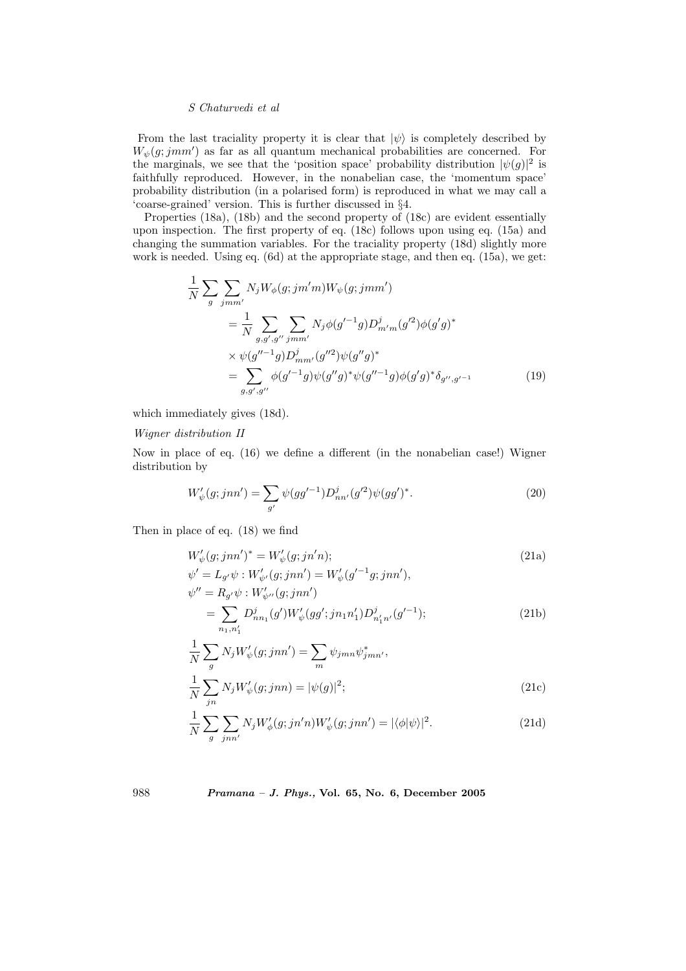From the last traciality property it is clear that  $|\psi\rangle$  is completely described by  $W_{\psi}(g; jmm')$  as far as all quantum mechanical probabilities are concerned. For the marginals, we see that the 'position space' probability distribution  $|\psi(g)|^2$  is faithfully reproduced. However, in the nonabelian case, the 'momentum space' probability distribution (in a polarised form) is reproduced in what we may call a 'coarse-grained' version. This is further discussed in §4.

Properties (18a), (18b) and the second property of (18c) are evident essentially upon inspection. The first property of eq. (18c) follows upon using eq. (15a) and changing the summation variables. For the traciality property (18d) slightly more work is needed. Using eq. (6d) at the appropriate stage, and then eq. (15a), we get:

$$
\frac{1}{N} \sum_{g} \sum_{jmm'} N_j W_{\phi}(g; jm'm) W_{\psi}(g; jmm') \n= \frac{1}{N} \sum_{g,g',g''} \sum_{jmm'} N_j \phi(g'^{-1}g) D_{m'm}^j(g'^2) \phi(g'g)^* \n\times \psi(g''^{-1}g) D_{mm'}^j(g''^2) \psi(g''g)^* \n= \sum_{g,g',g''} \phi(g'^{-1}g) \psi(g''g)^* \psi(g''^{-1}g) \phi(g'g)^* \delta_{g'',g'^{-1}}
$$
\n(19)

which immediately gives (18d).

## Wigner distribution II

Now in place of eq. (16) we define a different (in the nonabelian case!) Wigner distribution by

$$
W'_{\psi}(g; jnn') = \sum_{g'} \psi(gg'^{-1}) D^j_{nn'}(g'^2) \psi(gg')^*.
$$
 (20)

Then in place of eq. (18) we find

$$
W'_{\psi}(g; jnn')^* = W'_{\psi}(g; jn'n); \qquad (21a)
$$
  
\n
$$
\psi' = L_{g'} \psi : W'_{\psi'}(g; jnn') = W'_{\psi}(g'^{-1}g; jnn'),
$$
  
\n
$$
\psi'' = R_{g'} \psi : W'_{\psi''}(g; jnn')
$$
  
\n
$$
= \sum D^{j}_{nn_1}(g') W'_{\psi}(gg'; jn_1n'_1) D^{j}_{n'_1n'}(g'^{-1}); \qquad (21b)
$$

$$
\frac{1}{N} \sum_{g}^{n_1, n'_1} N_j W'_{\psi}(g; jnn') = \sum_{m} \psi_{jmn} \psi_{jmn'}^*,
$$
  

$$
\frac{1}{N} \sum_{jn} N_j W'_{\psi}(g; jnn) = |\psi(g)|^2;
$$
 (21c)

$$
\frac{1}{N} \sum_{g} \sum_{jnn'} N_j W_{\phi}'(g; jn'n) W_{\psi}'(g; jnn') = |\langle \phi | \psi \rangle|^2.
$$
\n(21d)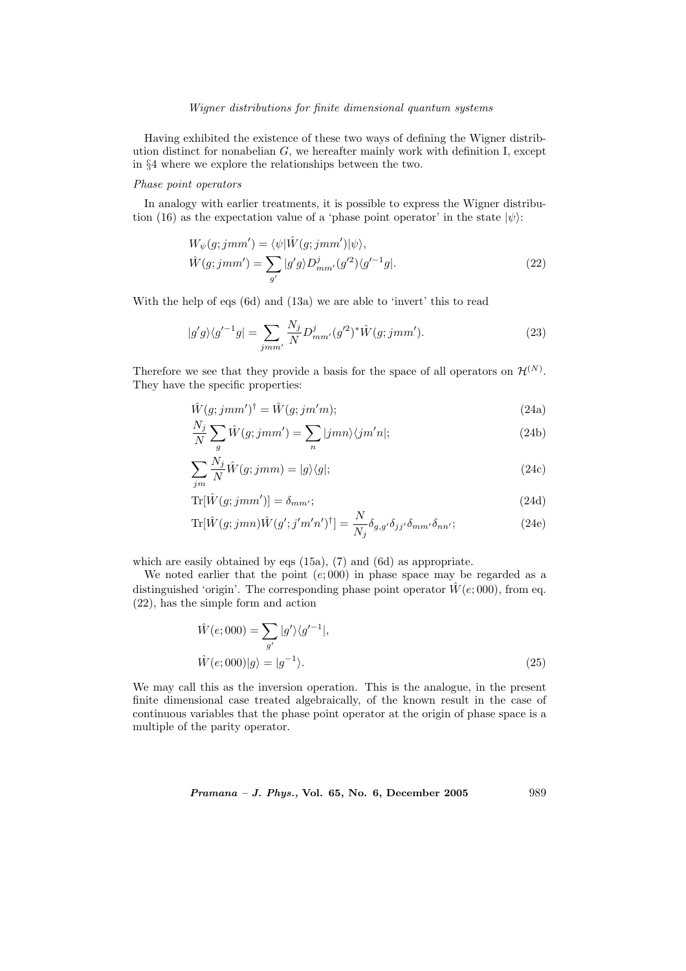Having exhibited the existence of these two ways of defining the Wigner distribution distinct for nonabelian  $G$ , we hereafter mainly work with definition I, except in §4 where we explore the relationships between the two.

## Phase point operators

In analogy with earlier treatments, it is possible to express the Wigner distribution (16) as the expectation value of a 'phase point operator' in the state  $|\psi\rangle$ :

$$
W_{\psi}(g; jmm') = \langle \psi | \hat{W}(g; jmm') | \psi \rangle,
$$
  

$$
\hat{W}(g; jmm') = \sum_{g'} |g'g\rangle D^{j}_{mm'}(g'^{2})\langle g'^{-1}g|.
$$
 (22)

With the help of eqs (6d) and (13a) we are able to 'invert' this to read

$$
|g'g\rangle\langle g'^{-1}g| = \sum_{jmm'} \frac{N_j}{N} D_{mm'}^j (g'^2)^* \hat{W}(g; jmm'). \tag{23}
$$

Therefore we see that they provide a basis for the space of all operators on  $\mathcal{H}^{(N)}$ . They have the specific properties:

$$
\hat{W}(g; jmm')^{\dagger} = \hat{W}(g; jm'm); \tag{24a}
$$

$$
\frac{N_j}{N} \sum_{g} \hat{W}(g; jmm') = \sum_{n} |jmn\rangle\langle jm'n|; \qquad (24b)
$$

$$
\sum_{jm} \frac{N_j}{N} \hat{W}(g; jmm) = |g\rangle\langle g|; \tag{24c}
$$

$$
\text{Tr}[\hat{W}(g; jmm')] = \delta_{mm'};
$$
\n(24d)

$$
\text{Tr}[\hat{W}(g; jmn)\hat{W}(g'; j'm'n')^{\dagger}] = \frac{N}{N_j} \delta_{g,g'} \delta_{jj'} \delta_{mm'} \delta_{nn'};
$$
\n(24e)

which are easily obtained by eqs (15a), (7) and (6d) as appropriate.

We noted earlier that the point  $(e; 000)$  in phase space may be regarded as a distinguished 'origin'. The corresponding phase point operator  $\hat{W}(e;000)$ , from eq. (22), has the simple form and action

$$
\hat{W}(e;000) = \sum_{g'} |g'\rangle\langle g'^{-1}|,
$$
  

$$
\hat{W}(e;000)|g\rangle = |g^{-1}\rangle.
$$
 (25)

We may call this as the inversion operation. This is the analogue, in the present finite dimensional case treated algebraically, of the known result in the case of continuous variables that the phase point operator at the origin of phase space is a multiple of the parity operator.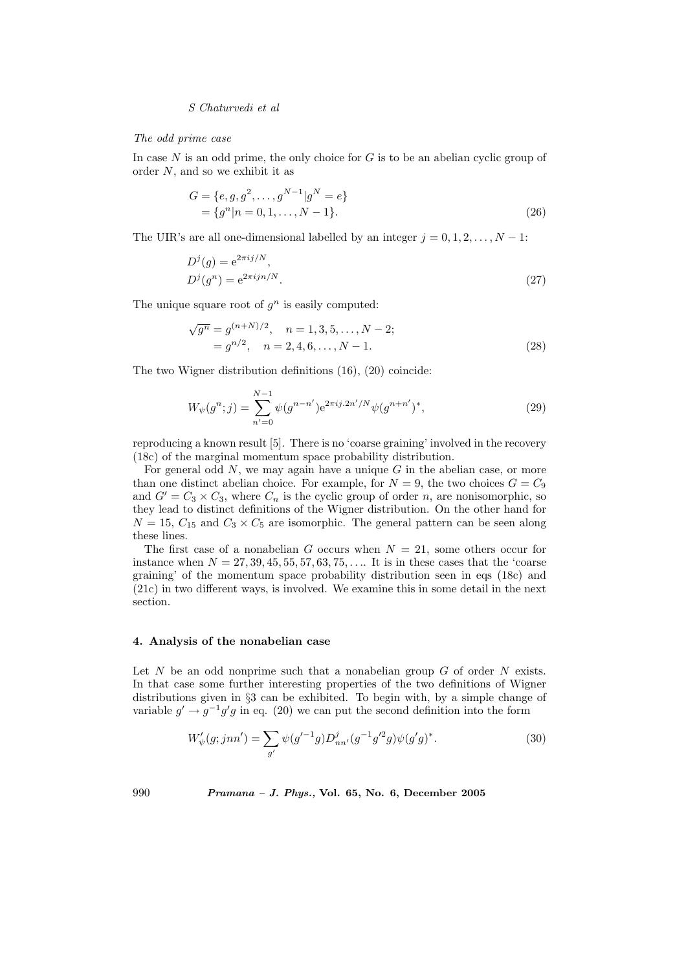#### The odd prime case

In case  $N$  is an odd prime, the only choice for  $G$  is to be an abelian cyclic group of order N, and so we exhibit it as

$$
G = \{e, g, g^2, \dots, g^{N-1} | g^N = e\}
$$
  
=  $\{g^n | n = 0, 1, \dots, N - 1\}.$  (26)

The UIR's are all one-dimensional labelled by an integer  $j = 0, 1, 2, \ldots, N - 1$ :

$$
D^{j}(g) = e^{2\pi i j/N},
$$
  
\n
$$
D^{j}(g^{n}) = e^{2\pi i j n/N}.
$$
\n(27)

The unique square root of  $q^n$  is easily computed:

$$
\sqrt{g^n} = g^{(n+N)/2}, \quad n = 1, 3, 5, \dots, N-2; = g^{n/2}, \quad n = 2, 4, 6, \dots, N-1.
$$
 (28)

The two Wigner distribution definitions (16), (20) coincide:

$$
W_{\psi}(g^n; j) = \sum_{n'=0}^{N-1} \psi(g^{n-n'}) e^{2\pi i j \cdot 2n'/N} \psi(g^{n+n'})^*,
$$
 (29)

reproducing a known result [5]. There is no 'coarse graining' involved in the recovery (18c) of the marginal momentum space probability distribution.

For general odd  $N$ , we may again have a unique  $G$  in the abelian case, or more than one distinct abelian choice. For example, for  $N = 9$ , the two choices  $G = C_9$ and  $G' = C_3 \times C_3$ , where  $C_n$  is the cyclic group of order n, are nonisomorphic, so they lead to distinct definitions of the Wigner distribution. On the other hand for  $N = 15$ ,  $C_{15}$  and  $C_3 \times C_5$  are isomorphic. The general pattern can be seen along these lines.

The first case of a nonabelian G occurs when  $N = 21$ , some others occur for instance when  $N = 27, 39, 45, 55, 57, 63, 75, \ldots$  It is in these cases that the 'coarse graining' of the momentum space probability distribution seen in eqs (18c) and (21c) in two different ways, is involved. We examine this in some detail in the next section.

#### 4. Analysis of the nonabelian case

Let  $N$  be an odd nonprime such that a nonabelian group  $G$  of order  $N$  exists. In that case some further interesting properties of the two definitions of Wigner distributions given in §3 can be exhibited. To begin with, by a simple change of variable  $g' \to g^{-1}g'g$  in eq. (20) we can put the second definition into the form

$$
W'_{\psi}(g; jnn') = \sum_{g'} \psi(g'^{-1}g) D^j_{nn'}(g^{-1}g'^2g) \psi(g'g)^*.
$$
 (30)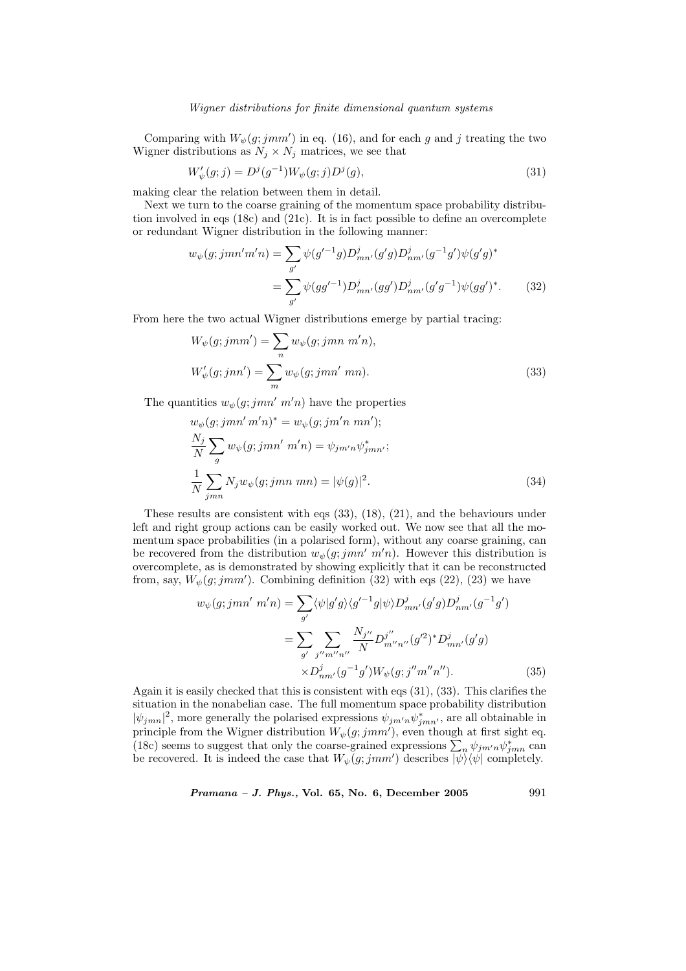Comparing with  $W_{\psi}(g; jmm')$  in eq. (16), and for each g and j treating the two Wigner distributions as  $N_j \times N_j$  matrices, we see that

$$
W'_{\psi}(g;j) = D^{j}(g^{-1})W_{\psi}(g;j)D^{j}(g),
$$
\n(31)

making clear the relation between them in detail.

Next we turn to the coarse graining of the momentum space probability distribution involved in eqs (18c) and (21c). It is in fact possible to define an overcomplete or redundant Wigner distribution in the following manner:

$$
w_{\psi}(g; jmn'm'n) = \sum_{g'} \psi(g'^{-1}g)D^{j}_{mn'}(g'g)D^{j}_{nm'}(g^{-1}g')\psi(g'g)^{*}
$$

$$
= \sum_{g'} \psi(gg'^{-1})D^{j}_{mn'}(gg')D^{j}_{nm'}(g'g^{-1})\psi(gg')^{*}.
$$
(32)

From here the two actual Wigner distributions emerge by partial tracing:

$$
W_{\psi}(g; jmm') = \sum_{n} w_{\psi}(g; jmn \; m'n),
$$
  
\n
$$
W_{\psi}'(g; jnn') = \sum_{m} w_{\psi}(g; jmn' \; mn).
$$
\n(33)

The quantities  $w_{\psi}(g; jmn' m'n)$  have the properties

$$
w_{\psi}(g; jmn'm'n)^{*} = w_{\psi}(g; jm'n mn');
$$
  
\n
$$
\frac{N_{j}}{N} \sum_{g} w_{\psi}(g; jmn'm'n) = \psi_{jm'n} \psi_{jmn'}^{*};
$$
  
\n
$$
\frac{1}{N} \sum_{jmn} N_{j} w_{\psi}(g; jmn mn) = |\psi(g)|^{2}.
$$
\n(34)

These results are consistent with eqs (33), (18), (21), and the behaviours under left and right group actions can be easily worked out. We now see that all the momentum space probabilities (in a polarised form), without any coarse graining, can be recovered from the distribution  $w_{\psi}(g; jmn' m'n)$ . However this distribution is overcomplete, as is demonstrated by showing explicitly that it can be reconstructed from, say,  $W_{\psi}(g; jmm')$ . Combining definition (32) with eqs (22), (23) we have

$$
w_{\psi}(g; jmn' m'n) = \sum_{g'} \langle \psi | g'g \rangle \langle g'^{-1}g | \psi \rangle D^{j}_{mn'}(g'g) D^{j}_{nm'}(g^{-1}g')
$$
  

$$
= \sum_{g'} \sum_{j''m''n''} \frac{N_{j''}}{N} D^{j''}_{m''n''}(g'^{2})^{*} D^{j}_{mn'}(g'g)
$$
  

$$
\times D^{j}_{nm'}(g^{-1}g') W_{\psi}(g; j''m''n''). \tag{35}
$$

Again it is easily checked that this is consistent with eqs (31), (33). This clarifies the situation in the nonabelian case. The full momentum space probability distribution  $|\psi_{jmn}|^2$ , more generally the polarised expressions  $\psi_{jm'n}\psi_{jmn'}^*$ , are all obtainable in principle from the Wigner distribution  $W_{\psi}(g; jmm')$ , even though at first sight eq. principle from the Wigner distribution  $W_{\psi}(g; \eta m)$ , even though at first signit eq.<br>(18c) seems to suggest that only the coarse-grained expressions  $\sum_{n} \psi_{jm'n} \psi_{\tilde{j}mn}^*$  can be recovered. It is indeed the case that  $W_{\psi}(g; jmm')$  describes  $|\psi\rangle\langle\psi|$  completely.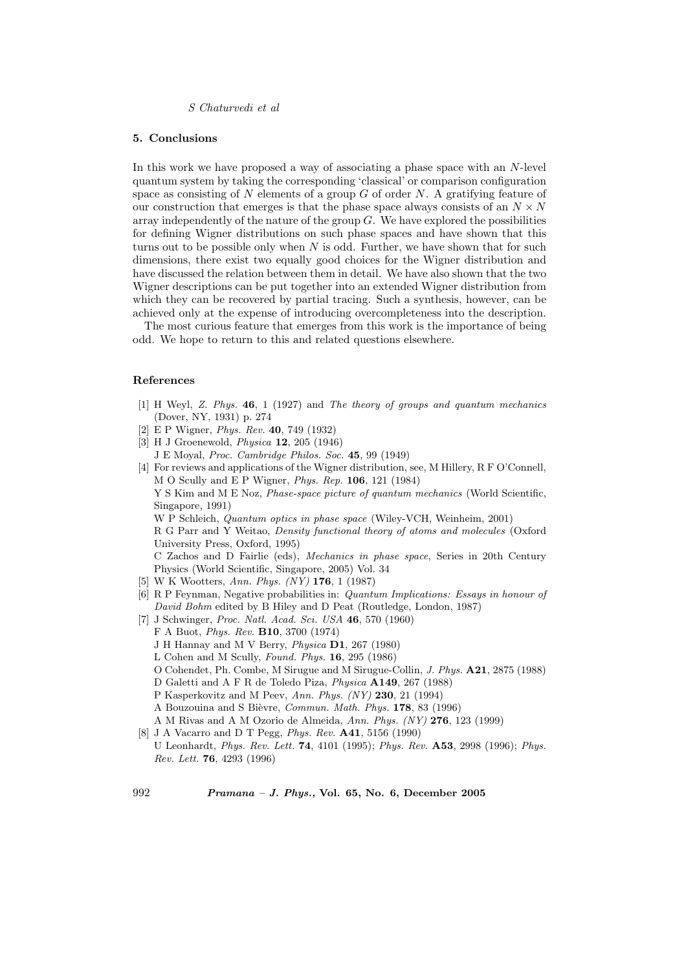#### 5. Conclusions

In this work we have proposed a way of associating a phase space with an N-level quantum system by taking the corresponding 'classical' or comparison configuration space as consisting of N elements of a group  $G$  of order N. A gratifying feature of our construction that emerges is that the phase space always consists of an  $N \times N$ array independently of the nature of the group  $G$ . We have explored the possibilities for defining Wigner distributions on such phase spaces and have shown that this turns out to be possible only when  $N$  is odd. Further, we have shown that for such dimensions, there exist two equally good choices for the Wigner distribution and have discussed the relation between them in detail. We have also shown that the two Wigner descriptions can be put together into an extended Wigner distribution from which they can be recovered by partial tracing. Such a synthesis, however, can be achieved only at the expense of introducing overcompleteness into the description.

The most curious feature that emerges from this work is the importance of being odd. We hope to return to this and related questions elsewhere.

#### References

- [1] H Weyl, Z. Phys. 46, 1 (1927) and The theory of groups and quantum mechanics (Dover, NY, 1931) p. 274
- [2] E P Wigner, Phys. Rev. 40, 749 (1932)
- [3] H J Groenewold, Physica 12, 205 (1946)
- J E Moyal, Proc. Cambridge Philos. Soc. 45, 99 (1949)
- [4] For reviews and applications of the Wigner distribution, see, M Hillery, R F O'Connell, M O Scully and E P Wigner, Phys. Rep. 106, 121 (1984) Y S Kim and M E Noz, *Phase-space picture of quantum mechanics* (World Scientific, Singapore, 1991) W P Schleich, *Quantum optics in phase space* (Wiley-VCH, Weinheim, 2001) R G Parr and Y Weitao, Density functional theory of atoms and molecules (Oxford University Press, Oxford, 1995) C Zachos and D Fairlie (eds), Mechanics in phase space, Series in 20th Century Physics (World Scientific, Singapore, 2005) Vol. 34 [5] W K Wootters, Ann. Phys. (NY) 176, 1 (1987)
- 
- [6] R P Feynman, Negative probabilities in: Quantum Implications: Essays in honour of David Bohm edited by B Hiley and D Peat (Routledge, London, 1987)
- [7] J Schwinger, Proc. Natl. Acad. Sci. USA 46, 570 (1960)
	- F A Buot, Phys. Rev. B10, 3700 (1974)
	- J H Hannay and M V Berry, Physica D1, 267 (1980)
	- L Cohen and M Scully, Found. Phys. 16, 295 (1986)
	- O Cohendet, Ph. Combe, M Sirugue and M Sirugue-Collin, J. Phys. A21, 2875 (1988)
	- D Galetti and A F R de Toledo Piza, Physica A149, 267 (1988)
	- P Kasperkovitz and M Peev, Ann. Phys. (NY) 230, 21 (1994)
	- A Bouzouina and S Bièvre, Commun. Math. Phys. 178, 83 (1996)
	- A M Rivas and A M Ozorio de Almeida, Ann. Phys. (NY) 276, 123 (1999)
- [8] J A Vacarro and D T Pegg, Phys. Rev. A41, 5156 (1990)
- U Leonhardt, Phys. Rev. Lett. 74, 4101 (1995); Phys. Rev. A53, 2998 (1996); Phys. Rev. Lett. 76, 4293 (1996)